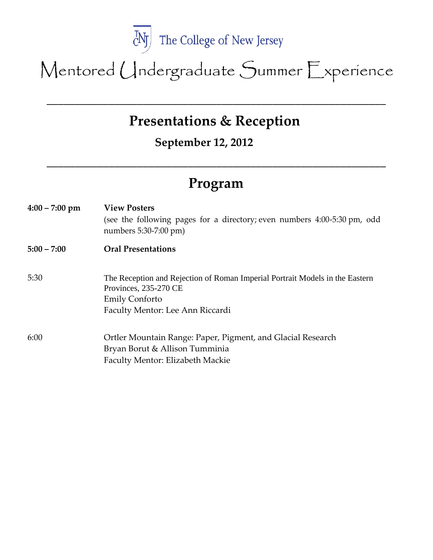

Mentored Undergraduate Summer Experience

## **Presentations & Reception**

\_\_\_\_\_\_\_\_\_\_\_\_\_\_\_\_\_\_\_\_\_\_\_\_\_\_\_\_\_\_\_\_\_\_\_\_\_\_\_\_\_\_\_\_\_\_\_\_\_\_\_\_\_\_\_\_\_\_\_\_

**September 12, 2012**

## **Program**

**\_\_\_\_\_\_\_\_\_\_\_\_\_\_\_\_\_\_\_\_\_\_\_\_\_\_\_\_\_\_\_\_\_\_\_\_\_\_\_\_\_\_\_\_\_\_\_\_\_\_\_\_\_\_\_\_\_\_\_\_**

**4:00 – 7:00 pm View Posters** (see the following pages for a directory; even numbers 4:00-5:30 pm, odd numbers 5:30-7:00 pm) **5:00 – 7:00 Oral Presentations** 5:30 The Reception and Rejection of Roman Imperial Portrait Models in the Eastern Provinces, 235-270 CE Emily Conforto Faculty Mentor: Lee Ann Riccardi 6:00 Ortler Mountain Range: Paper, Pigment, and Glacial Research Bryan Borut & Allison Tumminia Faculty Mentor: Elizabeth Mackie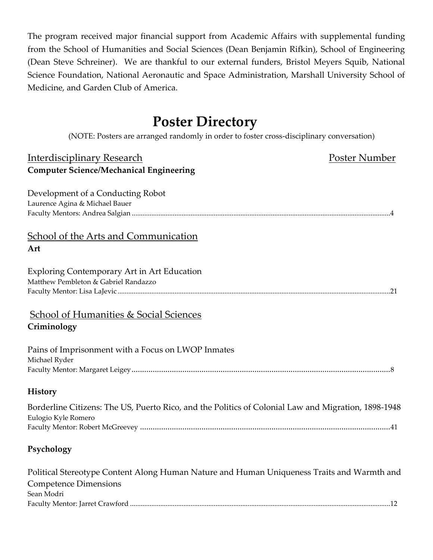The program received major financial support from Academic Affairs with supplemental funding from the School of Humanities and Social Sciences (Dean Benjamin Rifkin), School of Engineering (Dean Steve Schreiner). We are thankful to our external funders, Bristol Meyers Squib, National Science Foundation, National Aeronautic and Space Administration, Marshall University School of Medicine, and Garden Club of America.

## **Poster Directory**

(NOTE: Posters are arranged randomly in order to foster cross-disciplinary conversation)

| <b>Interdisciplinary Research</b>                                                                                                        | Poster Number |
|------------------------------------------------------------------------------------------------------------------------------------------|---------------|
| <b>Computer Science/Mechanical Engineering</b>                                                                                           |               |
| Development of a Conducting Robot<br>Laurence Agina & Michael Bauer                                                                      |               |
| <b>School of the Arts and Communication</b><br>Art                                                                                       |               |
| <b>Exploring Contemporary Art in Art Education</b><br>Matthew Pembleton & Gabriel Randazzo                                               |               |
| <b>School of Humanities &amp; Social Sciences</b><br>Criminology                                                                         |               |
| Pains of Imprisonment with a Focus on LWOP Inmates<br>Michael Ryder                                                                      |               |
| <b>History</b>                                                                                                                           |               |
| Borderline Citizens: The US, Puerto Rico, and the Politics of Colonial Law and Migration, 1898-1948<br>Eulogio Kyle Romero               |               |
| Psychology                                                                                                                               |               |
| Political Stereotype Content Along Human Nature and Human Uniqueness Traits and Warmth and<br><b>Competence Dimensions</b><br>Sean Modri |               |

Faculty Mentor: Jarret Crawford ..................................................................................................................................................12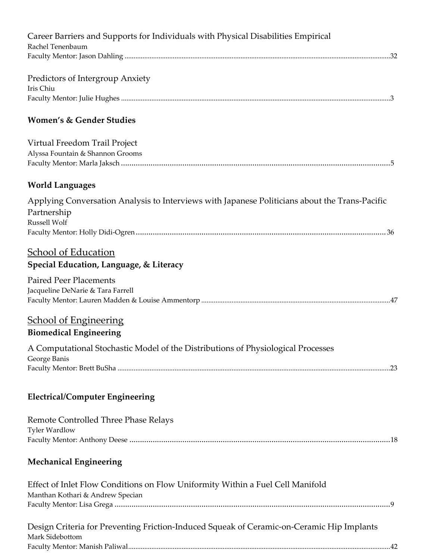| Career Barriers and Supports for Individuals with Physical Disabilities Empirical<br>Rachel Tenenbaum                         |
|-------------------------------------------------------------------------------------------------------------------------------|
| Predictors of Intergroup Anxiety<br>Iris Chiu                                                                                 |
| <b>Women's &amp; Gender Studies</b>                                                                                           |
| Virtual Freedom Trail Project<br>Alyssa Fountain & Shannon Grooms                                                             |
| <b>World Languages</b>                                                                                                        |
| Applying Conversation Analysis to Interviews with Japanese Politicians about the Trans-Pacific<br>Partnership<br>Russell Wolf |
| <b>School of Education</b><br>Special Education, Language, & Literacy                                                         |
| <b>Paired Peer Placements</b><br>Jacqueline DeNarie & Tara Farrell                                                            |
| <b>School of Engineering</b><br><b>Biomedical Engineering</b>                                                                 |
| A Computational Stochastic Model of the Distributions of Physiological Processes<br>George Banis                              |
| <b>Electrical/Computer Engineering</b>                                                                                        |
| Remote Controlled Three Phase Relays<br><b>Tyler Wardlow</b>                                                                  |
| <b>Mechanical Engineering</b>                                                                                                 |
| Effect of Inlet Flow Conditions on Flow Uniformity Within a Fuel Cell Manifold<br>Manthan Kothari & Andrew Specian            |
| Design Criteria for Preventing Friction-Induced Squeak of Ceramic-on-Ceramic Hip Implants<br>Mark Sidebottom                  |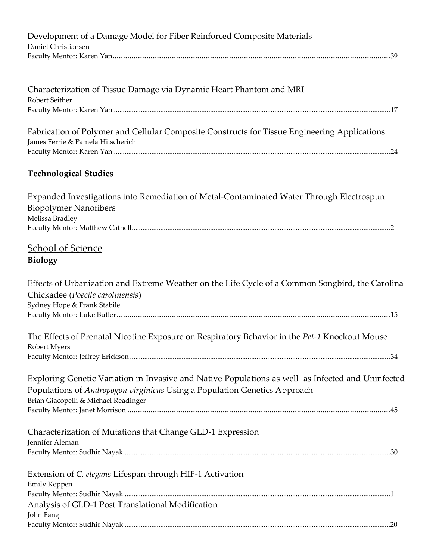| Development of a Damage Model for Fiber Reinforced Composite Materials<br>Daniel Christiansen                                                                                                                          |
|------------------------------------------------------------------------------------------------------------------------------------------------------------------------------------------------------------------------|
|                                                                                                                                                                                                                        |
| Characterization of Tissue Damage via Dynamic Heart Phantom and MRI<br>Robert Seither                                                                                                                                  |
|                                                                                                                                                                                                                        |
| Fabrication of Polymer and Cellular Composite Constructs for Tissue Engineering Applications<br>James Ferrie & Pamela Hitscherich                                                                                      |
| <b>Technological Studies</b>                                                                                                                                                                                           |
| Expanded Investigations into Remediation of Metal-Contaminated Water Through Electrospun<br><b>Biopolymer Nanofibers</b><br>Melissa Bradley                                                                            |
|                                                                                                                                                                                                                        |
| <b>School of Science</b><br><b>Biology</b>                                                                                                                                                                             |
| Effects of Urbanization and Extreme Weather on the Life Cycle of a Common Songbird, the Carolina<br>Chickadee (Poecile carolinensis)<br>Sydney Hope & Frank Stabile                                                    |
| The Effects of Prenatal Nicotine Exposure on Respiratory Behavior in the Pet-1 Knockout Mouse<br>Robert Myers                                                                                                          |
| Exploring Genetic Variation in Invasive and Native Populations as well as Infected and Uninfected<br>Populations of Andropogon virginicus Using a Population Genetics Approach<br>Brian Giacopelli & Michael Readinger |
| Characterization of Mutations that Change GLD-1 Expression<br>Jennifer Aleman                                                                                                                                          |
| Extension of C. elegans Lifespan through HIF-1 Activation<br>Emily Keppen                                                                                                                                              |
| Analysis of GLD-1 Post Translational Modification<br>John Fang                                                                                                                                                         |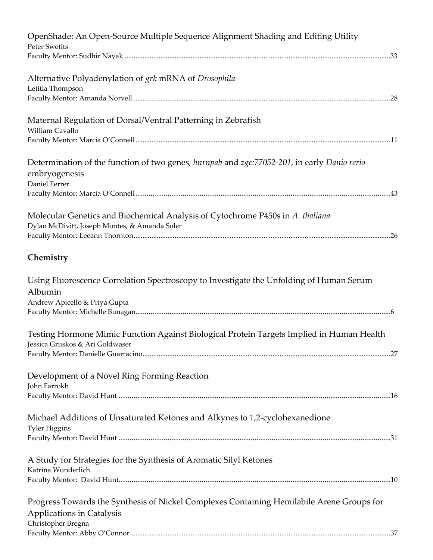| OpenShade: An Open-Source Multiple Sequence Alignment Shading and Editing Utility<br><b>Peter Swetits</b>                                    |
|----------------------------------------------------------------------------------------------------------------------------------------------|
|                                                                                                                                              |
| Alternative Polyadenylation of grk mRNA of Drosophila<br>Letitia Thompson                                                                    |
| Maternal Regulation of Dorsal/Ventral Patterning in Zebrafish<br>William Cavallo                                                             |
| Determination of the function of two genes, hurnpab and zgc:77052-201, in early Danio rerio<br>embryogenesis<br>Daniel Ferrer                |
| Molecular Genetics and Biochemical Analysis of Cytochrome P450s in A. thaliana<br>Dylan McDivitt, Joseph Montes, & Amanda Soler              |
| Chemistry                                                                                                                                    |
| Using Fluorescence Correlation Spectroscopy to Investigate the Unfolding of Human Serum<br>Albumin<br>Andrew Apicello & Priya Gupta          |
| Testing Hormone Mimic Function Against Biological Protein Targets Implied in Human Health<br>Jessica Gruskos & Ari Goldwaser                 |
| Development of a Novel Ring Forming Reaction<br>John Farrokh                                                                                 |
| Michael Additions of Unsaturated Ketones and Alkynes to 1,2-cyclohexanedione<br><b>Tyler Higgins</b>                                         |
| A Study for Strategies for the Synthesis of Aromatic Silyl Ketones<br>Katrina Wunderlich                                                     |
| Progress Towards the Synthesis of Nickel Complexes Containing Hemilabile Arene Groups for<br>Applications in Catalysis<br>Christopher Bregna |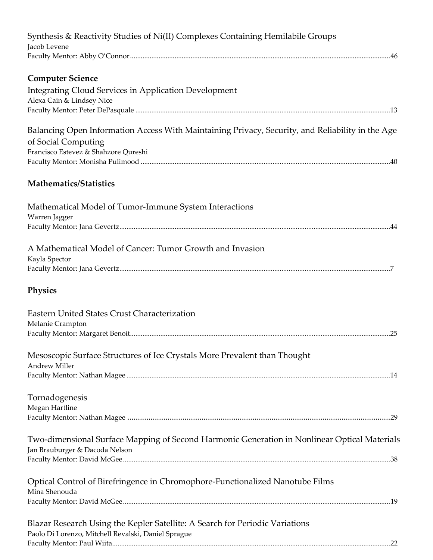| Synthesis & Reactivity Studies of Ni(II) Complexes Containing Hemilabile Groups<br>Jacob Levene                                                                 |
|-----------------------------------------------------------------------------------------------------------------------------------------------------------------|
|                                                                                                                                                                 |
| <b>Computer Science</b><br><b>Integrating Cloud Services in Application Development</b><br>Alexa Cain & Lindsey Nice                                            |
| Balancing Open Information Access With Maintaining Privacy, Security, and Reliability in the Age<br>of Social Computing<br>Francisco Estevez & Shahzore Qureshi |
| <b>Mathematics/Statistics</b>                                                                                                                                   |
| Mathematical Model of Tumor-Immune System Interactions<br>Warren Jagger                                                                                         |
| A Mathematical Model of Cancer: Tumor Growth and Invasion<br>Kayla Spector                                                                                      |
| Physics                                                                                                                                                         |
| Eastern United States Crust Characterization<br>Melanie Crampton                                                                                                |
| Mesoscopic Surface Structures of Ice Crystals More Prevalent than Thought<br><b>Andrew Miller</b>                                                               |
| Tornadogenesis<br>Megan Hartline                                                                                                                                |
| Two-dimensional Surface Mapping of Second Harmonic Generation in Nonlinear Optical Materials<br>Jan Brauburger & Dacoda Nelson                                  |
| Optical Control of Birefringence in Chromophore-Functionalized Nanotube Films<br>Mina Shenouda                                                                  |
| Blazar Research Using the Kepler Satellite: A Search for Periodic Variations<br>Paolo Di Lorenzo, Mitchell Revalski, Daniel Sprague                             |